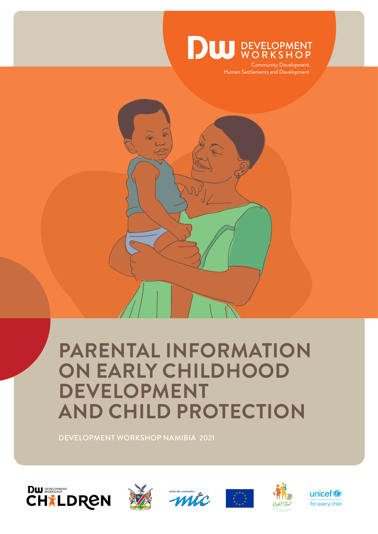

Community Development Human Settlements and Development

# **PARENTAL INFORMATION ON EARLY CHILDHOOD DEVELOPMENT AND CHILD PROTECTION**

DEVELOPMENT WORKSHOP NAMIBIA 2021











unicef<sup>®</sup> for every child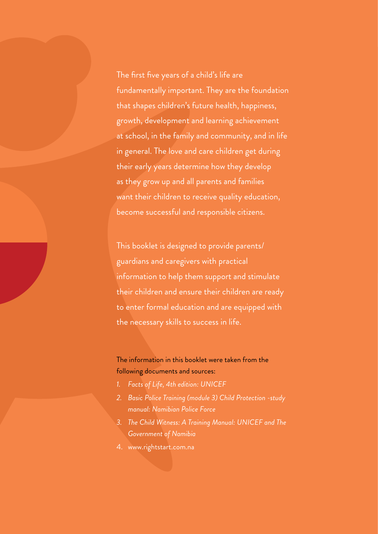The first five years of a child's life are fundamentally important. They are the foundation that shapes children's future health, happiness, growth, development and learning achievement at school, in the family and community, and in life in general. The love and care children get during their early years determine how they develop as they grow up and all parents and families want their children to receive quality education, become successful and responsible citizens.

This booklet is designed to provide parents/ guardians and caregivers with practical information to help them support and stimulate their children and ensure their children are ready to enter formal education and are equipped with the necessary skills to success in life.

### The information in this booklet were taken from the following documents and sources:

- *1. Facts of Life, 4th edition: UNICEF*
- *2. Basic Police Training (module 3) Child Protection -study manual: Namibian Police Force*
- *3. The Child Witness: A Training Manual: UNICEF and The Government of Namibia*
- 4. www.rightstart.com.na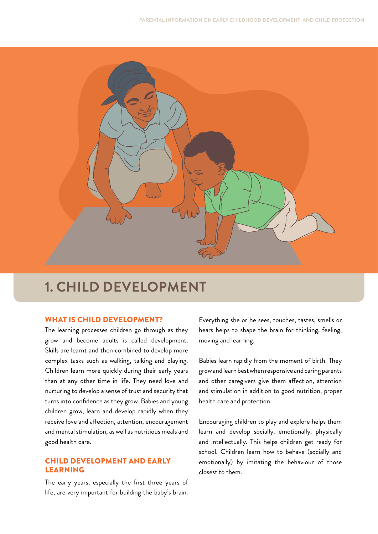

# **1. CHILD DEVELOPMENT**

#### WHAT IS CHILD DEVELOPMENT?

The learning processes children go through as they grow and become adults is called development. Skills are learnt and then combined to develop more complex tasks such as walking, talking and playing. Children learn more quickly during their early years than at any other time in life. They need love and nurturing to develop a sense of trust and security that turns into confidence as they grow. Babies and young children grow, learn and develop rapidly when they receive love and affection, attention, encouragement and mental stimulation, as well as nutritious meals and good health care.

#### CHILD DEVELOPMENT AND EARLY LEARNING

The early years, especially the first three years of life, are very important for building the baby's brain.

Everything she or he sees, touches, tastes, smells or hears helps to shape the brain for thinking, feeling, moving and learning.

Babies learn rapidly from the moment of birth. They grow and learn best when responsive and caring parents and other caregivers give them affection, attention and stimulation in addition to good nutrition, proper health care and protection.

Encouraging children to play and explore helps them learn and develop socially, emotionally, physically and intellectually. This helps children get ready for school. Children learn how to behave (socially and emotionally) by imitating the behaviour of those closest to them.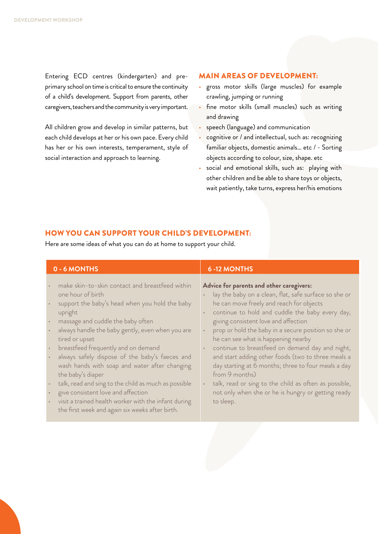Entering ECD centres (kindergarten) and preprimary school on time is critical to ensure the continuity of a child's development. Support from parents, other caregivers, teachers and the community is very important.

All children grow and develop in similar patterns, but each child develops at her or his own pace. Every child has her or his own interests, temperament, style of social interaction and approach to learning.

#### MAIN AREAS OF DEVELOPMENT:

- gross motor skills (large muscles) for example crawling, jumping or running
- fine motor skills (small muscles) such as writing and drawing
- speech (language) and communication
- cognitive or / and intellectual, such as: recognizing familiar objects, domestic animals… etc / - Sorting objects according to colour, size, shape. etc
- social and emotional skills, such as: playing with other children and be able to share toys or objects, wait patiently, take turns, express her/his emotions

#### HOW YOU CAN SUPPORT YOUR CHILD'S DEVELOPMENT:

Here are some ideas of what you can do at home to support your child.

| 0 - 6 MONTHS                                                                                                                                                                                                                                                                                                                                                                                                                                                                                                                                                                                                                                                                                                                 | <b>6-12 MONTHS</b>                                                                                                                                                                                                                                                                                                                                                                                                                                                                                                                                                                                                                                                                           |
|------------------------------------------------------------------------------------------------------------------------------------------------------------------------------------------------------------------------------------------------------------------------------------------------------------------------------------------------------------------------------------------------------------------------------------------------------------------------------------------------------------------------------------------------------------------------------------------------------------------------------------------------------------------------------------------------------------------------------|----------------------------------------------------------------------------------------------------------------------------------------------------------------------------------------------------------------------------------------------------------------------------------------------------------------------------------------------------------------------------------------------------------------------------------------------------------------------------------------------------------------------------------------------------------------------------------------------------------------------------------------------------------------------------------------------|
| make skin-to-skin contact and breastfeed within<br>$\bullet$<br>one hour of birth<br>support the baby's head when you hold the baby<br>upright<br>massage and cuddle the baby often<br>$\bullet$<br>always handle the baby gently, even when you are<br>$\bullet$<br>tired or upset<br>breastfeed frequently and on demand<br>$\bullet$<br>always safely dispose of the baby's faeces and<br>$\bullet$<br>wash hands with soap and water after changing<br>the baby's diaper<br>talk, read and sing to the child as much as possible<br>$\bullet$<br>give consistent love and affection<br>$\bullet$<br>visit a trained health worker with the infant during<br>$\bullet$<br>the first week and again six weeks after birth. | Advice for parents and other caregivers:<br>lay the baby on a clean, flat, safe surface so she or<br>he can move freely and reach for objects<br>continue to hold and cuddle the baby every day,<br>giving consistent love and affection<br>prop or hold the baby in a secure position so she or<br>$\bullet$<br>he can see what is happening nearby<br>continue to breastfeed on demand day and night,<br>$\bullet$<br>and start adding other foods (two to three meals a<br>day starting at 6 months; three to four meals a day<br>from 9 months)<br>talk, read or sing to the child as often as possible,<br>$\bullet$<br>not only when she or he is hungry or getting ready<br>to sleep. |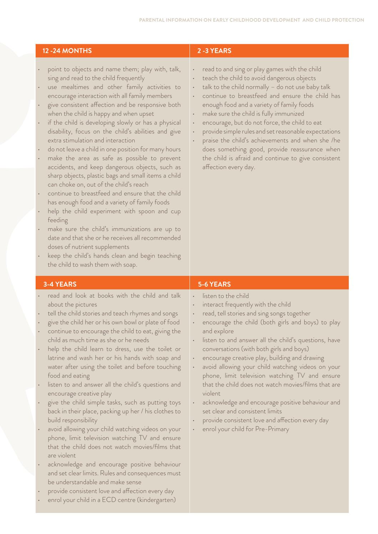#### **12 -24 MONTHS 2 -3 YEARS**

- point to objects and name them; play with, talk, sing and read to the child frequently
- use mealtimes and other family activities to encourage interaction with all family members
- give consistent affection and be responsive both when the child is happy and when upset
- if the child is developing slowly or has a physical disability, focus on the child's abilities and give extra stimulation and interaction
- do not leave a child in one position for many hours
- make the area as safe as possible to prevent accidents, and keep dangerous objects, such as sharp objects, plastic bags and small items a child can choke on, out of the child's reach
- continue to breastfeed and ensure that the child has enough food and a variety of family foods
- help the child experiment with spoon and cup feeding
- make sure the child's immunizations are up to date and that she or he receives all recommended doses of nutrient supplements
- keep the child's hands clean and begin teaching the child to wash them with soap.

- read and look at books with the child and talk about the pictures
- tell the child stories and teach rhymes and songs
- give the child her or his own bowl or plate of food • continue to encourage the child to eat, giving the child as much time as she or he needs
- help the child learn to dress, use the toilet or latrine and wash her or his hands with soap and water after using the toilet and before touching food and eating
- listen to and answer all the child's questions and encourage creative play
- give the child simple tasks, such as putting toys back in their place, packing up her / his clothes to build responsibility
- avoid allowing your child watching videos on your phone, limit television watching TV and ensure that the child does not watch movies/films that are violent
- acknowledge and encourage positive behaviour and set clear limits. Rules and consequences must be understandable and make sense
- provide consistent love and affection every day
- enrol your child in a ECD centre (kindergarten)

- read to and sing or play games with the child
- teach the child to avoid dangerous objects
- talk to the child normally  $-$  do not use baby talk
- continue to breastfeed and ensure the child has enough food and a variety of family foods
- make sure the child is fully immunized
- encourage, but do not force, the child to eat
- provide simple rules and set reasonable expectations
- praise the child's achievements and when she /he does something good, provide reassurance when the child is afraid and continue to give consistent affection every day.

#### **3-4 YEARS 5-6 YEARS**

- listen to the child
- interact frequently with the child
- read, tell stories and sing songs together
- encourage the child (both girls and boys) to play and explore
- listen to and answer all the child's questions, have conversations (with both girls and boys)
- encourage creative play, building and drawing
- avoid allowing your child watching videos on your phone, limit television watching TV and ensure that the child does not watch movies/films that are violent
- acknowledge and encourage positive behaviour and set clear and consistent limits
- provide consistent love and affection every day
- enrol your child for Pre-Primary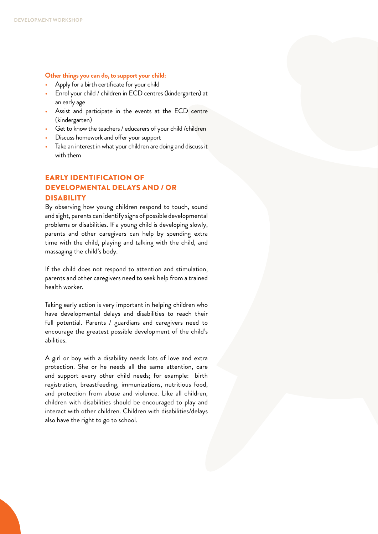#### **Other things you can do, to support your child:**

- Apply for a birth certificate for your child
- Enrol your child / children in ECD centres (kindergarten) at an early age
- Assist and participate in the events at the ECD centre (kindergarten)
- Get to know the teachers / educarers of your child /children
- Discuss homework and offer your support
- Take an interest in what your children are doing and discuss it with them

#### EARLY IDENTIFICATION OF DEVELOPMENTAL DELAYS AND / OR **DISABILITY**

By observing how young children respond to touch, sound and sight, parents can identify signs of possible developmental problems or disabilities. If a young child is developing slowly, parents and other caregivers can help by spending extra time with the child, playing and talking with the child, and massaging the child's body.

If the child does not respond to attention and stimulation, parents and other caregivers need to seek help from a trained health worker.

Taking early action is very important in helping children who have developmental delays and disabilities to reach their full potential. Parents / guardians and caregivers need to encourage the greatest possible development of the child's abilities.

A girl or boy with a disability needs lots of love and extra protection. She or he needs all the same attention, care and support every other child needs; for example: birth registration, breastfeeding, immunizations, nutritious food, and protection from abuse and violence. Like all children, children with disabilities should be encouraged to play and interact with other children. Children with disabilities/delays also have the right to go to school.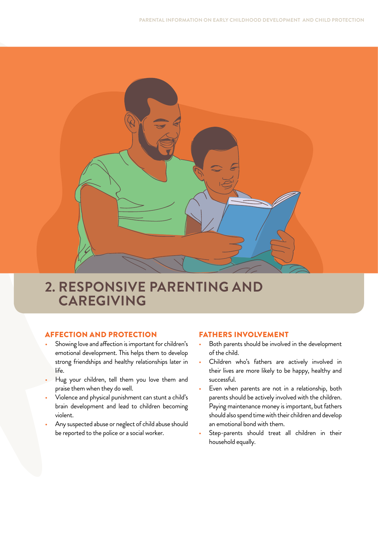

# **2. RESPONSIVE PARENTING AND CAREGIVING**

#### AFFECTION AND PROTECTION

- Showing love and affection is important for children's emotional development. This helps them to develop strong friendships and healthy relationships later in life.
- Hug your children, tell them you love them and praise them when they do well.
- Violence and physical punishment can stunt a child's brain development and lead to children becoming violent.
- Any suspected abuse or neglect of child abuse should be reported to the police or a social worker.

#### FATHERS INVOLVEMENT

- Both parents should be involved in the development of the child.
- Children who's fathers are actively involved in their lives are more likely to be happy, healthy and successful.
- Even when parents are not in a relationship, both parents should be actively involved with the children. Paying maintenance money is important, but fathers should also spend time with their children and develop an emotional bond with them.
- Step-parents should treat all children in their household equally.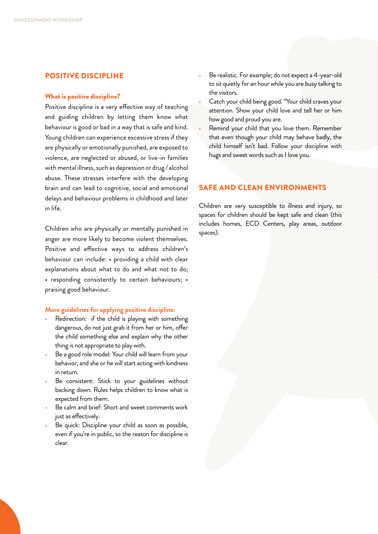#### POSITIVE DISCIPLINE

#### What is positive discipline?

Positive discipline is a very effective way of teaching and guiding children by letting them know what behaviour is good or bad in a way that is safe and kind. Young children can experience excessive stress if they are physically or emotionally punished, are exposed to violence, are neglected or abused, or live-in families with mental illness, such as depression or drug / alcohol abuse. These stresses interfere with the developing brain and can lead to cognitive, social and emotional delays and behaviour problems in childhood and later in life.

Children who are physically or mentally punished in anger are more likely to become violent themselves. Positive and effective ways to address children's behaviour can include: • providing a child with clear explanations about what to do and what not to do; • responding consistently to certain behaviours; • praising good behaviour.

#### **More guidelines for applying positive discipline:**

- Redirection: if the child is playing with something dangerous, do not just grab it from her or him, offer the child something else and explain why the other thing is not appropriate to play with.
- Be a good role model: Your child will learn from your behavior, and she or he will start acting with kindness in return.
- Be consistent: Stick to your guidelines without backing down. Rules helps children to know what is expected from them.
- Be calm and brief: Short and sweet comments work just as effectively.
- Be quick: Discipline your child as soon as possible, even if you're in public, so the reason for discipline is clear.
- Be realistic. For example; do not expect a 4-year-old to sit quietly for an hour while you are busy talking to the visitors.
- Catch your child being good. "Your child craves your attention. Show your child love and tell her or him how good and proud you are.
- Remind your child that you love them. Remember that even though your child may behave badly, the child himself isn't bad. Follow your discipline with hugs and sweet words such as I love you.

#### SAFE AND CLEAN ENVIRONMENTS

Children are very susceptible to illness and injury, so spaces for children should be kept safe and clean (this includes homes, ECD Centers, play areas, outdoor spaces).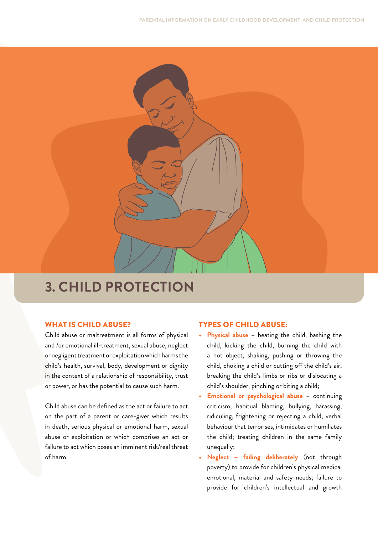

# **3. CHILD PROTECTION**

#### WHAT IS CHILD ABUSE?

Child abuse or maltreatment is all forms of physical and /or emotional ill-treatment, sexual abuse, neglect or negligent treatment or exploitation which harms the child's health, survival, body, development or dignity in the context of a relationship of responsibility, trust or power, or has the potential to cause such harm.

Child abuse can be defined as the act or failure to act on the part of a parent or care-giver which results in death, serious physical or emotional harm, sexual abuse or exploitation or which comprises an act or failure to act which poses an imminent risk/real threat of harm.

#### TYPES OF CHILD ABUSE:

- **Physical abuse** beating the child, bashing the child, kicking the child, burning the child with a hot object, shaking, pushing or throwing the child, choking a child or cutting off the child's air, breaking the child's limbs or ribs or dislocating a child's shoulder, pinching or biting a child;
- **Emotional or psychological abuse** continuing criticism, habitual blaming, bullying, harassing, ridiculing, frightening or rejecting a child, verbal behaviour that terrorises, intimidates or humiliates the child; treating children in the same family unequally;
- **• Neglect failing deliberately** (not through poverty) to provide for children's physical medical emotional, material and safety needs; failure to provide for children's intellectual and growth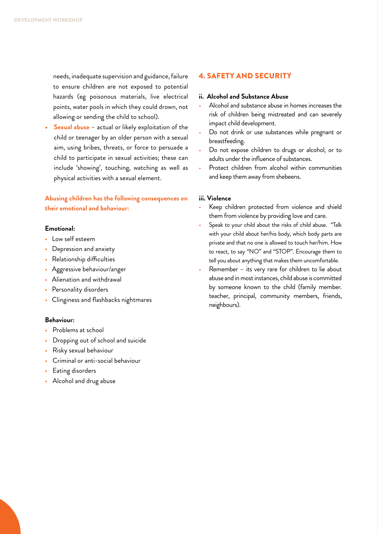needs, inadequate supervision and guidance, failure to ensure children are not exposed to potential hazards (eg poisonous materials, live electrical points, water pools in which they could drown, not allowing or sending the child to school).

**• Sexual abuse** – actual or likely exploitation of the child or teenager by an older person with a sexual aim, using bribes, threats, or force to persuade a child to participate in sexual activities; these can include 'showing', touching, watching as well as physical activities with a sexual element.

#### **Abusing children has the following consequences on their emotional and behaviour:**

#### **Emotional:**

- Low self esteem
- Depression and anxiety
- Relationship difficulties
- Aggressive behaviour/anger
- Alienation and withdrawal
- Personality disorders
- Clinginess and flashbacks nightmares

#### **Behaviour:**

- Problems at school
- Dropping out of school and suicide
- Risky sexual behaviour
- Criminal or anti-social behaviour
- Eating disorders
- Alcohol and drug abuse

#### 4. SAFETY AND SECURITY

#### **ii. Alcohol and Substance Abuse**

- Alcohol and substance abuse in homes increases the risk of children being mistreated and can severely impact child development.
- Do not drink or use substances while pregnant or breastfeeding.
- Do not expose children to drugs or alcohol, or to adults under the influence of substances.
- Protect children from alcohol within communities and keep them away from shebeens.

#### **iii. Violence**

- Keep children protected from violence and shield them from violence by providing love and care.
- Speak to your child about the risks of child abuse. "Talk with your child about her/his body, which body parts are private and that no one is allowed to touch her/him. How to react, to say "NO" and "STOP". Encourage them to tell you about anything that makes them uncomfortable.
- Remember its very rare for children to lie about abuse and in most instances, child abuse is committed by someone known to the child (family member. teacher, principal, community members, friends, neighbours).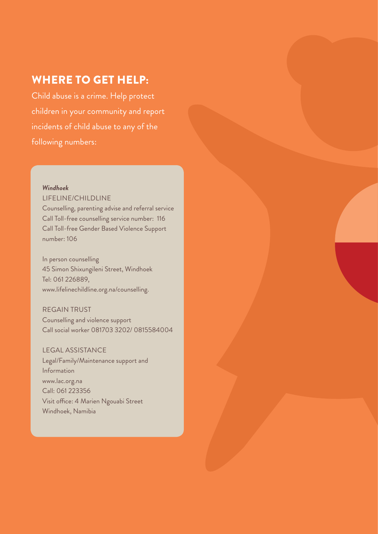## WHERE TO GET HELP:

Child abuse is a crime. Help protect children in your community and report incidents of child abuse to any of the following numbers:

#### *Windhoek*

#### LIFELINE/CHILDLINE

Counselling, parenting advise and referral service Call Toll-free counselling service number: 116 Call Toll-free Gender Based Violence Support number: 106

In person counselling 45 Simon Shixungileni Street, Windhoek Tel: 061 226889, www.lifelinechildline.org.na/counselling.

#### REGAIN TRUST

Counselling and violence support Call social worker 081703 3202/ 0815584004

### LEGAL ASSISTANCE

Legal/Family/Maintenance support and Information www.lac.org.na Call: 061 223356 Visit office: 4 Marien Ngouabi Street Windhoek, Namibia